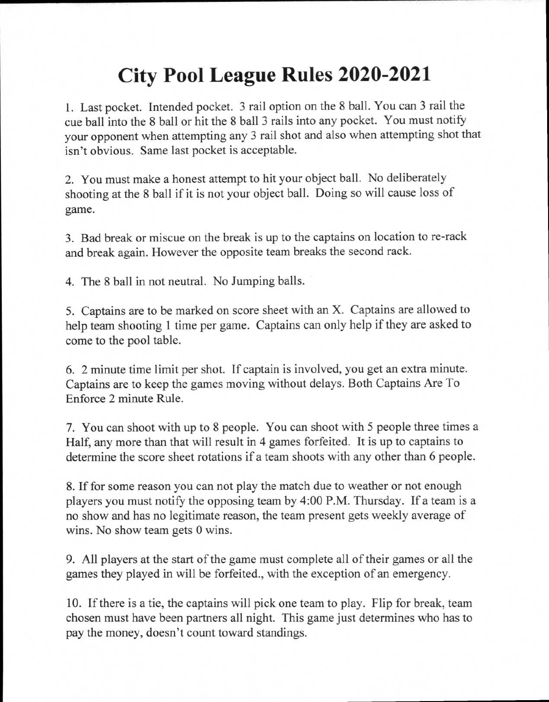## **City Pool League Rules 2020-2021**

1. Last pocket. Intended pocket. 3 rail option on the 8 ball. You can 3 rail the cue ball into the 8 ball or hit the 8 ball 3 rails into any pocket. You must notify your opponent when attempting any 3 rail shot and also when attempting shot that isn't obvious. Same last pocket is acceptable.

2. You must make a honest attempt to hit your object ball. No deliberately shooting at the 8 ball if it is not your object ball. Doing so will cause loss of game.

3. Bad break or miscue on the break is up to the captains on location to re-rack and break again. However the opposite team breaks the second rack.

4. The 8 ball in not neutral. No Jumping balls.

5. Captains are to be marked on score sheet with an X. Captains are allowed to help team shooting 1 time per game. Captains can only help if they are asked to come to the pool table.

6. 2 minute time limit per shot. If captain is involved, you get an extra minute. Captains are to keep the games moving without delays. Both Captains Are To Enforce 2 minute Rule.

7. You can shoot with up to 8 people. You can shoot with 5 people three times a Half, any more than that will result in 4 games forfeited. It is up to captains to determine the score sheet rotations if a team shoots with any other than 6 people.

8. If for some reason you can not play the match due to weather or not enough <sup>p</sup>layers you must notify the opposing team by 4:00 P.M. Thursday. If a team is a no show and has no legitimate reason, the team present gets weekly average of wins. No show team gets 0 wins.

9. All players at the start of the game must complete all of their games or all the games they played in will be forfeited., with the exception of an emergency.

10. If there is a tie, the captains will pick one team to play. Flip for break, team chosen must have been partners all night. This game just determines who has to pay the money, doesn't count toward standings.